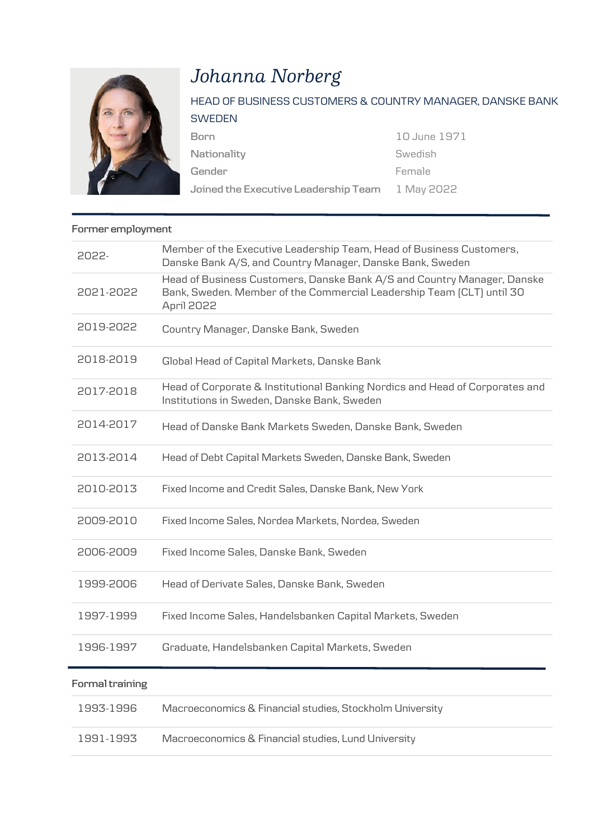

## *Johanna Norberg*

| HEAD OF BUSINESS CUSTOMERS & COUNTRY MANAGER, DANSKE BANK      |              |
|----------------------------------------------------------------|--------------|
| SWEDEN                                                         |              |
| Born                                                           | 10 June 1971 |
| Nationality                                                    | Swedish      |
| Gender                                                         | Female       |
| Joined the Executive Leadership Team $\,$ $\,$ 1 May 2022 $\,$ |              |

## **Former employment**

| 2022-           | Member of the Executive Leadership Team, Head of Business Customers,<br>Danske Bank A/S, and Country Manager, Danske Bank, Sweden                              |
|-----------------|----------------------------------------------------------------------------------------------------------------------------------------------------------------|
| 2021-2022       | Head of Business Customers, Danske Bank A/S and Country Manager, Danske<br>Bank, Sweden. Member of the Commercial Leadership Team (CLT) until 30<br>April 2022 |
| 2019-2022       | Country Manager, Danske Bank, Sweden                                                                                                                           |
| 2018-2019       | Global Head of Capital Markets, Danske Bank                                                                                                                    |
| 2017-2018       | Head of Corporate & Institutional Banking Nordics and Head of Corporates and<br>Institutions in Sweden, Danske Bank, Sweden                                    |
| 2014-2017       | Head of Danske Bank Markets Sweden, Danske Bank, Sweden                                                                                                        |
| 2013-2014       | Head of Debt Capital Markets Sweden, Danske Bank, Sweden                                                                                                       |
| 2010-2013       | Fixed Income and Credit Sales, Danske Bank, New York                                                                                                           |
| 2009-2010       | Fixed Income Sales, Nordea Markets, Nordea, Sweden                                                                                                             |
| 2006-2009       | Fixed Income Sales, Danske Bank, Sweden                                                                                                                        |
| 1999-2006       | Head of Derivate Sales, Danske Bank, Sweden                                                                                                                    |
| 1997-1999       | Fixed Income Sales, Handelsbanken Capital Markets, Sweden                                                                                                      |
| 1996-1997       | Graduate, Handelsbanken Capital Markets, Sweden                                                                                                                |
| Formal training |                                                                                                                                                                |
| 1993-1996       | Macroeconomics & Financial studies, Stockholm University                                                                                                       |

1991-1993 Macroeconomics & Financial studies, Lund University